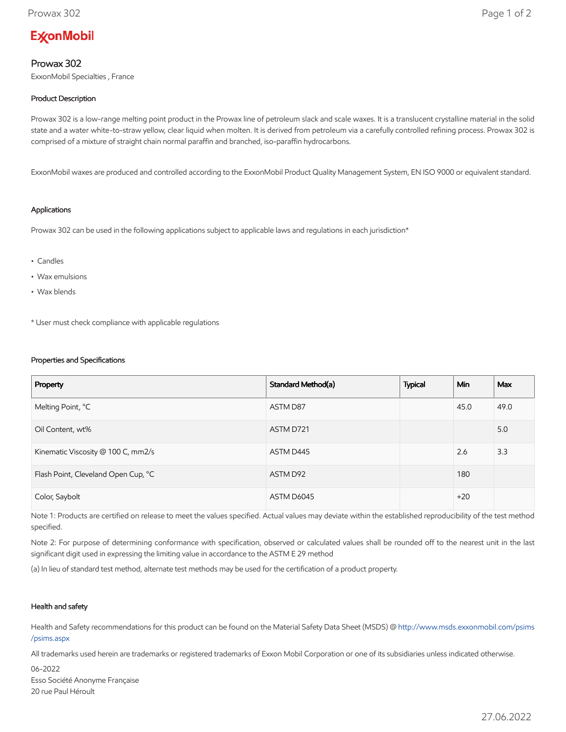# **ExconMobil**

## Prowax 302

ExxonMobil Specialties , France

## Product Description

Prowax 302 is a low-range melting point product in the Prowax line of petroleum slack and scale waxes. It is a translucent crystalline material in the solid state and a water white-to-straw yellow, clear liquid when molten. It is derived from petroleum via a carefully controlled refining process. Prowax 302 is comprised of a mixture of straight chain normal paraffin and branched, iso-paraffin hydrocarbons.

ExxonMobil waxes are produced and controlled according to the ExxonMobil Product Quality Management System, EN ISO 9000 or equivalent standard.

#### Applications

Prowax 302 can be used in the following applications subject to applicable laws and regulations in each jurisdiction\*

- Candles
- Wax emulsions
- Wax blends

\* User must check compliance with applicable regulations

#### Properties and Specifications

| Property                            | Standard Method(a) | <b>Typical</b> | <b>Min</b> | Max  |
|-------------------------------------|--------------------|----------------|------------|------|
| Melting Point, °C                   | ASTM D87           |                | 45.0       | 49.0 |
| Oil Content, wt%                    | ASTM D721          |                |            | 5.0  |
| Kinematic Viscosity @ 100 C, mm2/s  | ASTM D445          |                | 2.6        | 3.3  |
| Flash Point, Cleveland Open Cup, °C | ASTM D92           |                | 180        |      |
| Color, Saybolt                      | ASTM D6045         |                | $+20$      |      |

Note 1: Products are certified on release to meet the values specified. Actual values may deviate within the established reproducibility of the test method specified.

Note 2: For purpose of determining conformance with specification, observed or calculated values shall be rounded off to the nearest unit in the last significant digit used in expressing the limiting value in accordance to the ASTM E 29 method

(a) In lieu of standard test method, alternate test methods may be used for the certification of a product property.

### Health and safety

Health and Safety recommendations for this product can be found on the Material Safety Data Sheet (MSDS) @ [http://www.msds.exxonmobil.com/psims](http://www.msds.exxonmobil.com/psims/psims.aspx) /psims.aspx

All trademarks used herein are trademarks or registered trademarks of Exxon Mobil Corporation or one of its subsidiaries unless indicated otherwise.

06-2022 Esso Société Anonyme Française 20 rue Paul Héroult